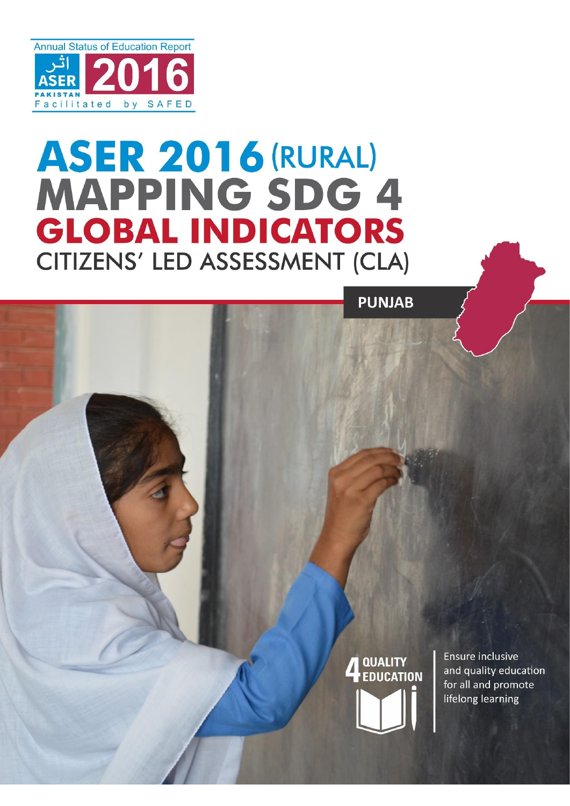

## **ASER 2016 (RURAL) MAPPING SDG 4 GLOBAL INDICATORS CITIZENS' LED ASSESSMENT (CLA)**

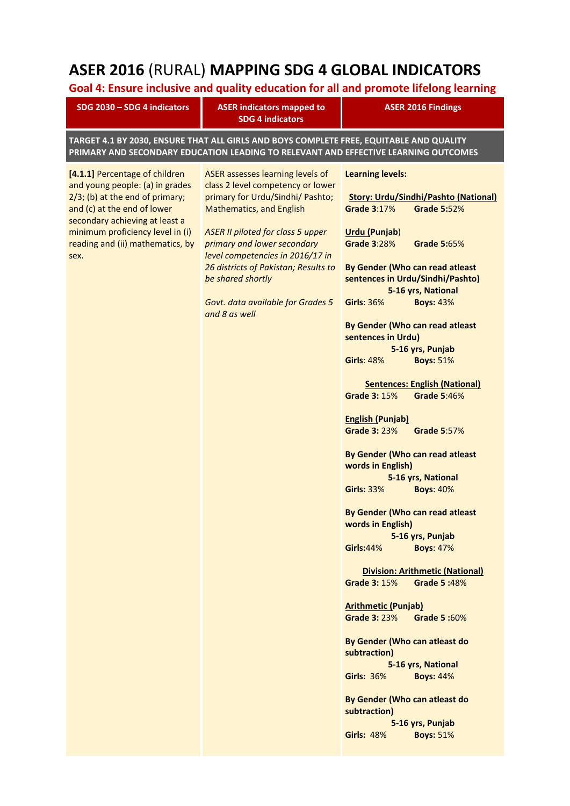## **ASER 2016** (RURAL) **MAPPING SDG 4 GLOBAL INDICATORS**

## **Goal 4: Ensure inclusive and quality education for all and promote lifelong learning**

| SDG 2030 - SDG 4 indicators                                                                                                                                                                                                                              | <b>ASER indicators mapped to</b><br><b>SDG 4 indicators</b>                                                                                                                                                                                                                                                                                                                    | <b>ASER 2016 Findings</b>                                                                                                                                                                                                                                                                                                                                                                                                                                                                                                                                                                                                                                                                                                                                                                                                                                                                                                                                                                                                                                                                                                                                                                                                                    |  |  |  |
|----------------------------------------------------------------------------------------------------------------------------------------------------------------------------------------------------------------------------------------------------------|--------------------------------------------------------------------------------------------------------------------------------------------------------------------------------------------------------------------------------------------------------------------------------------------------------------------------------------------------------------------------------|----------------------------------------------------------------------------------------------------------------------------------------------------------------------------------------------------------------------------------------------------------------------------------------------------------------------------------------------------------------------------------------------------------------------------------------------------------------------------------------------------------------------------------------------------------------------------------------------------------------------------------------------------------------------------------------------------------------------------------------------------------------------------------------------------------------------------------------------------------------------------------------------------------------------------------------------------------------------------------------------------------------------------------------------------------------------------------------------------------------------------------------------------------------------------------------------------------------------------------------------|--|--|--|
| TARGET 4.1 BY 2030, ENSURE THAT ALL GIRLS AND BOYS COMPLETE FREE, EQUITABLE AND QUALITY<br>PRIMARY AND SECONDARY EDUCATION LEADING TO RELEVANT AND EFFECTIVE LEARNING OUTCOMES                                                                           |                                                                                                                                                                                                                                                                                                                                                                                |                                                                                                                                                                                                                                                                                                                                                                                                                                                                                                                                                                                                                                                                                                                                                                                                                                                                                                                                                                                                                                                                                                                                                                                                                                              |  |  |  |
| [4.1.1] Percentage of children<br>and young people: (a) in grades<br>$2/3$ ; (b) at the end of primary;<br>and (c) at the end of lower<br>secondary achieving at least a<br>minimum proficiency level in (i)<br>reading and (ii) mathematics, by<br>sex. | ASER assesses learning levels of<br>class 2 level competency or lower<br>primary for Urdu/Sindhi/ Pashto;<br><b>Mathematics, and English</b><br><b>ASER II piloted for class 5 upper</b><br>primary and lower secondary<br>level competencies in 2016/17 in<br>26 districts of Pakistan; Results to<br>be shared shortly<br>Govt. data available for Grades 5<br>and 8 as well | <b>Learning levels:</b><br><b>Story: Urdu/Sindhi/Pashto (National)</b><br><b>Grade 3:17%</b><br><b>Grade 5:52%</b><br><b>Urdu (Punjab)</b><br><b>Grade 3:28%</b><br><b>Grade 5:65%</b><br>By Gender (Who can read atleast<br>sentences in Urdu/Sindhi/Pashto)<br>5-16 yrs, National<br><b>Girls: 36%</b><br><b>Boys: 43%</b><br>By Gender (Who can read atleast<br>sentences in Urdu)<br>5-16 yrs, Punjab<br><b>Boys: 51%</b><br><b>Girls: 48%</b><br><b>Sentences: English (National)</b><br><b>Grade 3: 15%</b><br><b>Grade 5:46%</b><br><b>English (Punjab)</b><br><b>Grade 3: 23%</b><br><b>Grade 5:57%</b><br>By Gender (Who can read atleast<br>words in English)<br>5-16 yrs, National<br><b>Girls: 33%</b><br><b>Boys: 40%</b><br>By Gender (Who can read atleast<br>words in English)<br>5-16 yrs, Punjab<br><b>Boys: 47%</b><br><b>Girls:44%</b><br><b>Division: Arithmetic (National)</b><br><b>Grade 3: 15%</b><br>Grade 5:48%<br><b>Arithmetic (Punjab)</b><br><b>Grade 3: 23%</b><br>Grade 5:60%<br>By Gender (Who can atleast do<br>subtraction)<br>5-16 yrs, National<br><b>Girls: 36%</b><br><b>Boys: 44%</b><br>By Gender (Who can atleast do<br>subtraction)<br>5-16 yrs, Punjab<br><b>Girls: 48%</b><br><b>Boys: 51%</b> |  |  |  |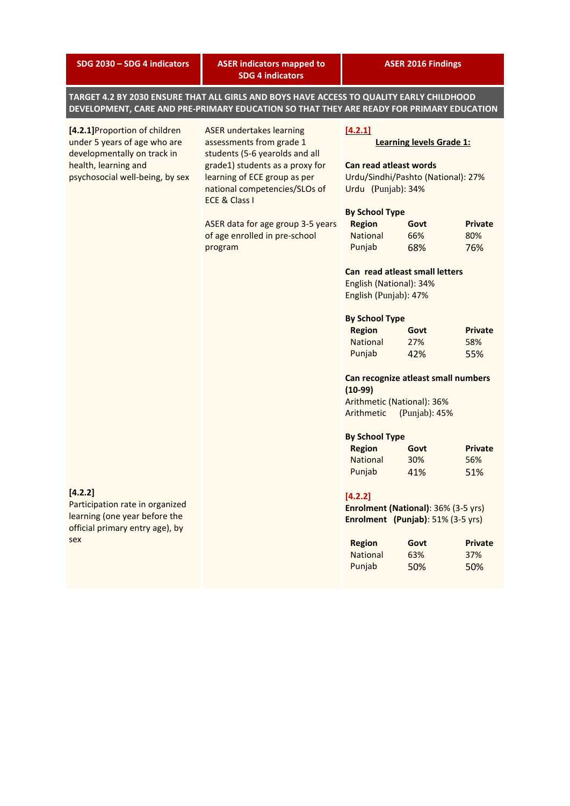**SDG 2030 – SDG 4 indicators ASER indicators mapped to SDG 4 indicators ASER 2016 Findings TARGET 4.2 BY 2030 ENSURE THAT ALL GIRLS AND BOYS HAVE ACCESS TO QUALITY EARLY CHILDHOOD DEVELOPMENT, CARE AND PRE-PRIMARY EDUCATION SO THAT THEY ARE READY FOR PRIMARY EDUCATION [4.2.1]**Proportion of children under 5 years of age who are developmentally on track in health, learning and psychosocial well-being, by sex **[4.2.2]** Participation rate in organized learning (one year before the official primary entry age), by sex ASER undertakes learning assessments from grade 1 students (5-6 yearolds and all grade1) students as a proxy for learning of ECE group as per national competencies/SLOs of ECE & Class I ASER data for age group 3-5 years of age enrolled in pre-school program **[4.2.1] Learning levels Grade 1: Can read atleast words** Urdu/Sindhi/Pashto (National): 27% Urdu (Punjab): 34% **By School Type Region Govt Private** National 66% 80% Punjab 68% 76% **Can read atleast small letters** English (National): 34% English (Punjab): 47% **By School Type Region Govt Private** National 27% 58% Punjab 42% 55% **Can recognize atleast small numbers (10-99)** Arithmetic (National): 36% Arithmetic (Punjab): 45% **By School Type Region Govt Private** National 30% 56% Punjab 41% 51% **[4.2.2] Enrolment (National)**: 36% (3-5 yrs) **Enrolment (Punjab)**: 51% (3-5 yrs) **Region Govt Private** National 63% 37% Punjab 50% 50%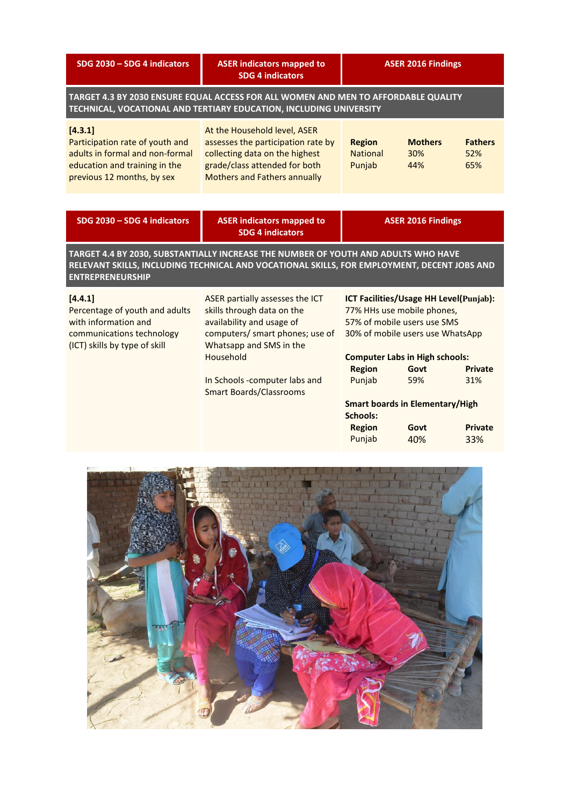| SDG 2030 - SDG 4 indicators                                                                                                                                                                                  | <b>ASER indicators mapped to</b><br><b>SDG 4 indicators</b>                                                                                                                                                                              | <b>ASER 2016 Findings</b>                                      |                                                                                                                                                                                                                                                          |                                                |
|--------------------------------------------------------------------------------------------------------------------------------------------------------------------------------------------------------------|------------------------------------------------------------------------------------------------------------------------------------------------------------------------------------------------------------------------------------------|----------------------------------------------------------------|----------------------------------------------------------------------------------------------------------------------------------------------------------------------------------------------------------------------------------------------------------|------------------------------------------------|
| TARGET 4.3 BY 2030 ENSURE EQUAL ACCESS FOR ALL WOMEN AND MEN TO AFFORDABLE QUALITY<br>TECHNICAL, VOCATIONAL AND TERTIARY EDUCATION, INCLUDING UNIVERSITY                                                     |                                                                                                                                                                                                                                          |                                                                |                                                                                                                                                                                                                                                          |                                                |
| [4.3.1]<br>Participation rate of youth and<br>adults in formal and non-formal<br>education and training in the<br>previous 12 months, by sex                                                                 | At the Household level, ASER<br>assesses the participation rate by<br>collecting data on the highest<br>grade/class attended for both<br><b>Mothers and Fathers annually</b>                                                             | <b>Region</b><br><b>National</b><br>Punjab                     | <b>Mothers</b><br>30%<br>44%                                                                                                                                                                                                                             | <b>Fathers</b><br>52%<br>65%                   |
|                                                                                                                                                                                                              |                                                                                                                                                                                                                                          |                                                                |                                                                                                                                                                                                                                                          |                                                |
| SDG 2030 - SDG 4 indicators                                                                                                                                                                                  | <b>ASER indicators mapped to</b><br><b>SDG 4 indicators</b>                                                                                                                                                                              | <b>ASER 2016 Findings</b>                                      |                                                                                                                                                                                                                                                          |                                                |
| TARGET 4.4 BY 2030, SUBSTANTIALLY INCREASE THE NUMBER OF YOUTH AND ADULTS WHO HAVE<br>RELEVANT SKILLS, INCLUDING TECHNICAL AND VOCATIONAL SKILLS, FOR EMPLOYMENT, DECENT JOBS AND<br><b>ENTREPRENEURSHIP</b> |                                                                                                                                                                                                                                          |                                                                |                                                                                                                                                                                                                                                          |                                                |
| [4.4.1]<br>Percentage of youth and adults<br>with information and<br>communications technology<br>(ICT) skills by type of skill                                                                              | ASER partially assesses the ICT<br>skills through data on the<br>availability and usage of<br>computers/ smart phones; use of<br>Whatsapp and SMS in the<br>Household<br>In Schools -computer labs and<br><b>Smart Boards/Classrooms</b> | <b>Region</b><br>Punjab<br>Schools:<br><b>Region</b><br>Punjab | ICT Facilities/Usage HH Level(Punjab):<br>77% HHs use mobile phones,<br>57% of mobile users use SMS<br>30% of mobile users use WhatsApp<br><b>Computer Labs in High schools:</b><br>Govt<br>59%<br><b>Smart boards in Elementary/High</b><br>Govt<br>40% | <b>Private</b><br>31%<br><b>Private</b><br>33% |

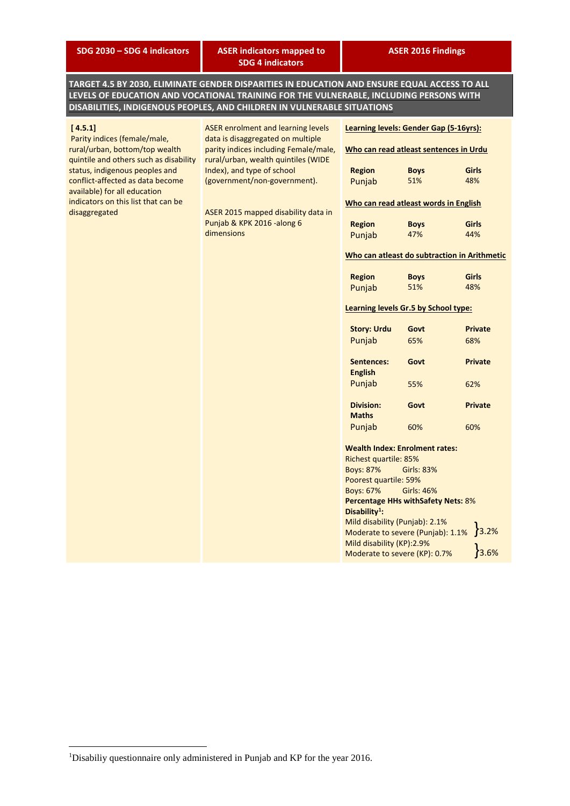**SDG 2030 – SDG 4 indicators ASER indicators mapped to SDG 4 indicators**

**TARGET 4.5 BY 2030, ELIMINATE GENDER DISPARITIES IN EDUCATION AND ENSURE EQUAL ACCESS TO ALL LEVELS OF EDUCATION AND VOCATIONAL TRAINING FOR THE VULNERABLE, INCLUDING PERSONS WITH DISABILITIES, INDIGENOUS PEOPLES, AND CHILDREN IN VULNERABLE SITUATIONS**

| [4.5.1]                                                          | <b>ASER enrolment and learning levels</b>                                  | Learning levels: Gender Gap (5-16yrs):                                                                                 |                   |                                              |
|------------------------------------------------------------------|----------------------------------------------------------------------------|------------------------------------------------------------------------------------------------------------------------|-------------------|----------------------------------------------|
| Parity indices (female/male,<br>rural/urban, bottom/top wealth   | data is disaggregated on multiple<br>parity indices including Female/male, | Who can read atleast sentences in Urdu                                                                                 |                   |                                              |
| quintile and others such as disability                           | rural/urban, wealth quintiles (WIDE                                        |                                                                                                                        |                   |                                              |
| status, indigenous peoples and                                   | Index), and type of school                                                 | <b>Region</b>                                                                                                          | <b>Boys</b>       | <b>Girls</b>                                 |
| conflict-affected as data become<br>available) for all education | (government/non-government).                                               | Punjab                                                                                                                 | 51%               | 48%                                          |
| indicators on this list that can be                              |                                                                            | Who can read atleast words in English                                                                                  |                   |                                              |
| disaggregated                                                    | ASER 2015 mapped disability data in                                        |                                                                                                                        |                   |                                              |
|                                                                  | Punjab & KPK 2016 -along 6                                                 | <b>Region</b>                                                                                                          | <b>Boys</b>       | Girls                                        |
|                                                                  | dimensions                                                                 | Punjab                                                                                                                 | 47%               | 44%                                          |
|                                                                  |                                                                            |                                                                                                                        |                   | Who can atleast do subtraction in Arithmetic |
|                                                                  |                                                                            |                                                                                                                        |                   |                                              |
|                                                                  |                                                                            | <b>Region</b>                                                                                                          | <b>Boys</b>       | <b>Girls</b>                                 |
|                                                                  |                                                                            | Punjab                                                                                                                 | 51%               | 48%                                          |
|                                                                  |                                                                            | Learning levels Gr.5 by School type:                                                                                   |                   |                                              |
|                                                                  |                                                                            | <b>Story: Urdu</b>                                                                                                     | Govt              | <b>Private</b>                               |
|                                                                  |                                                                            | Punjab                                                                                                                 | 65%               | 68%                                          |
|                                                                  |                                                                            | Sentences:                                                                                                             | Govt              | <b>Private</b>                               |
|                                                                  |                                                                            | <b>English</b>                                                                                                         |                   |                                              |
|                                                                  |                                                                            | Punjab                                                                                                                 | 55%               | 62%                                          |
|                                                                  |                                                                            |                                                                                                                        |                   |                                              |
|                                                                  |                                                                            | <b>Division:</b>                                                                                                       | Govt              | <b>Private</b>                               |
|                                                                  |                                                                            | <b>Maths</b>                                                                                                           |                   |                                              |
|                                                                  |                                                                            | Punjab                                                                                                                 | 60%               | 60%                                          |
|                                                                  |                                                                            | <b>Wealth Index: Enrolment rates:</b>                                                                                  |                   |                                              |
|                                                                  |                                                                            | Richest quartile: 85%                                                                                                  |                   |                                              |
|                                                                  |                                                                            | <b>Boys: 87%</b><br><b>Girls: 83%</b>                                                                                  |                   |                                              |
|                                                                  |                                                                            | Poorest quartile: 59%                                                                                                  |                   |                                              |
|                                                                  |                                                                            | <b>Boys: 67%</b>                                                                                                       | <b>Girls: 46%</b> |                                              |
|                                                                  |                                                                            | <b>Percentage HHs withSafety Nets: 8%</b><br>Disability <sup>1</sup> :                                                 |                   |                                              |
|                                                                  |                                                                            | Mild disability (Punjab): 2.1%<br>$3.2\%$<br>$3.6\%$<br>Moderate to severe (Punjab): 1.1%<br>Mild disability (KP):2.9% |                   |                                              |
|                                                                  |                                                                            |                                                                                                                        |                   |                                              |
|                                                                  |                                                                            |                                                                                                                        |                   |                                              |
|                                                                  |                                                                            | Moderate to severe (KP): 0.7%                                                                                          |                   |                                              |

1

<sup>&</sup>lt;sup>1</sup>Disabiliy questionnaire only administered in Punjab and KP for the year 2016.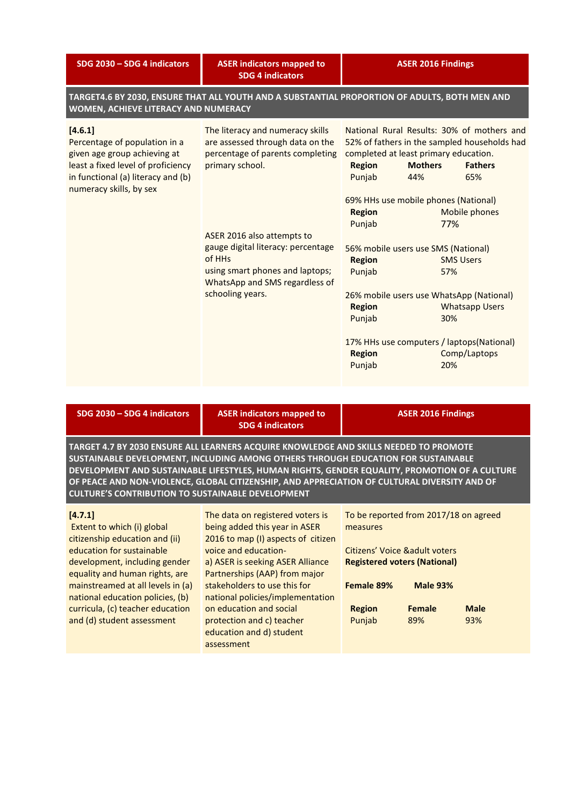| SDG 2030 - SDG 4 indicators                                                                                                                                                     | <b>ASER indicators mapped to</b><br><b>SDG 4 indicators</b>                                                                                                                                                                                                                                        | <b>ASER 2016 Findings</b>                                                                                                                                                                                                                                                                                                                                                                                                                                                   |                                                                                                                                 |  |  |
|---------------------------------------------------------------------------------------------------------------------------------------------------------------------------------|----------------------------------------------------------------------------------------------------------------------------------------------------------------------------------------------------------------------------------------------------------------------------------------------------|-----------------------------------------------------------------------------------------------------------------------------------------------------------------------------------------------------------------------------------------------------------------------------------------------------------------------------------------------------------------------------------------------------------------------------------------------------------------------------|---------------------------------------------------------------------------------------------------------------------------------|--|--|
| TARGET4.6 BY 2030, ENSURE THAT ALL YOUTH AND A SUBSTANTIAL PROPORTION OF ADULTS, BOTH MEN AND<br>WOMEN, ACHIEVE LITERACY AND NUMERACY                                           |                                                                                                                                                                                                                                                                                                    |                                                                                                                                                                                                                                                                                                                                                                                                                                                                             |                                                                                                                                 |  |  |
| [4.6.1]<br>Percentage of population in a<br>given age group achieving at<br>least a fixed level of proficiency<br>in functional (a) literacy and (b)<br>numeracy skills, by sex | The literacy and numeracy skills<br>are assessed through data on the<br>percentage of parents completing<br>primary school.<br>ASER 2016 also attempts to<br>gauge digital literacy: percentage<br>of HHs<br>using smart phones and laptops;<br>WhatsApp and SMS regardless of<br>schooling years. | National Rural Results: 30% of mothers and<br>52% of fathers in the sampled households had<br>completed at least primary education.<br><b>Mothers</b><br><b>Region</b><br>Punjab<br>44%<br>69% HHs use mobile phones (National)<br><b>Region</b><br>Punjab<br>56% mobile users use SMS (National)<br><b>Region</b><br>Punjab<br>26% mobile users use WhatsApp (National)<br><b>Region</b><br>Punjab<br>17% HHs use computers / laptops(National)<br><b>Region</b><br>Punjab | <b>Fathers</b><br>65%<br>Mobile phones<br>77%<br><b>SMS Users</b><br>57%<br><b>Whatsapp Users</b><br>30%<br>Comp/Laptops<br>20% |  |  |

| SDG 2030 - SDG 4 indicators                                                                                                                                                                                                                                                                                                                                                                                                             | <b>ASER indicators mapped to</b><br><b>SDG 4 indicators</b>                                                                                                                                                                                                              | <b>ASER 2016 Findings</b>                                                                                                                                   |  |  |
|-----------------------------------------------------------------------------------------------------------------------------------------------------------------------------------------------------------------------------------------------------------------------------------------------------------------------------------------------------------------------------------------------------------------------------------------|--------------------------------------------------------------------------------------------------------------------------------------------------------------------------------------------------------------------------------------------------------------------------|-------------------------------------------------------------------------------------------------------------------------------------------------------------|--|--|
| TARGET 4.7 BY 2030 ENSURE ALL LEARNERS ACQUIRE KNOWLEDGE AND SKILLS NEEDED TO PROMOTE<br>SUSTAINABLE DEVELOPMENT, INCLUDING AMONG OTHERS THROUGH EDUCATION FOR SUSTAINABLE<br>DEVELOPMENT AND SUSTAINABLE LIFESTYLES, HUMAN RIGHTS, GENDER EQUALITY, PROMOTION OF A CULTURE<br>OF PEACE AND NON-VIOLENCE, GLOBAL CITIZENSHIP, AND APPRECIATION OF CULTURAL DIVERSITY AND OF<br><b>CULTURE'S CONTRIBUTION TO SUSTAINABLE DEVELOPMENT</b> |                                                                                                                                                                                                                                                                          |                                                                                                                                                             |  |  |
| [4.7.1]<br>Extent to which (i) global<br>citizenship education and (ii)<br>education for sustainable<br>development, including gender<br>equality and human rights, are<br>mainstreamed at all levels in (a)<br>national education policies (h)                                                                                                                                                                                         | The data on registered voters is<br>being added this year in ASER<br>2016 to map (I) aspects of citizen<br>voice and education-<br>a) ASER is seeking ASER Alliance<br>Partnerships (AAP) from major<br>stakeholders to use this for<br>national policies/implementation | To be reported from 2017/18 on agreed<br>measures<br>Citizens' Voice & adult voters<br><b>Registered voters (National)</b><br>Female 89%<br><b>Male 93%</b> |  |  |

national education policies, (b) curricula, (c) teacher education and (d) student assessment

national policies/implementation on education and social protection and c) teacher education and d) student assessment

**Region Female Male** Punjab 89% 93%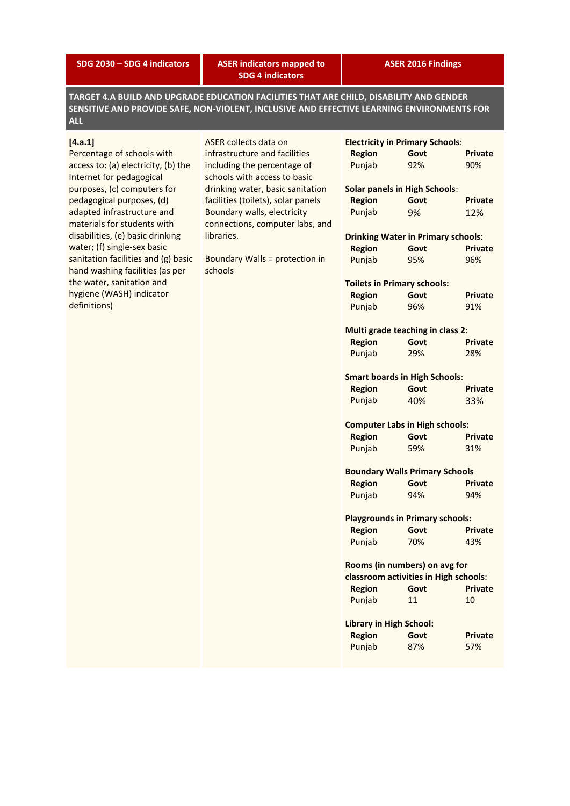**SDG 2030 – SDG 4 indicators ASER indicators mapped to SDG 4 indicators**

**ASER 2016 Findings**

**TARGET 4.A BUILD AND UPGRADE EDUCATION FACILITIES THAT ARE CHILD, DISABILITY AND GENDER SENSITIVE AND PROVIDE SAFE, NON-VIOLENT, INCLUSIVE AND EFFECTIVE LEARNING ENVIRONMENTS FOR ALL**

## **[4.a.1]**

Percentage of schools with access to: (a) electricity, (b) the Internet for pedagogical purposes, (c) computers for pedagogical purposes, (d) adapted infrastructure and materials for students with disabilities, (e) basic drinking water; (f) single-sex basic sanitation facilities and (g) basic hand washing facilities (as per the water, sanitation and hygiene (WASH) indicator definitions)

ASER collects data on infrastructure and facilities including the percentage of schools with access to basic drinking water, basic sanitation facilities (toilets), solar panels Boundary walls, electricity connections, computer labs, and libraries.

Boundary Walls = protection in schools

|                                | <b>Electricity in Primary Schools:</b>    |                |
|--------------------------------|-------------------------------------------|----------------|
| <b>Region</b>                  | Govt                                      | <b>Private</b> |
| Punjab                         | 92%                                       | 90%            |
|                                | <b>Solar panels in High Schools:</b>      |                |
| <b>Region</b>                  | Govt                                      | <b>Private</b> |
| Punjab                         | 9%                                        | 12%            |
|                                | <b>Drinking Water in Primary schools:</b> |                |
| <b>Region</b>                  | Govt                                      | <b>Private</b> |
| Punjab                         | 95%                                       | 96%            |
|                                | <b>Toilets in Primary schools:</b>        |                |
| <b>Region</b>                  | Govt                                      | <b>Private</b> |
| Punjab                         | 96%                                       | 91%            |
|                                | Multi grade teaching in class 2:          |                |
| <b>Region</b>                  | Govt                                      | <b>Private</b> |
| Punjab                         | 29%                                       | 28%            |
|                                | <b>Smart boards in High Schools:</b>      |                |
| <b>Region</b>                  | Govt                                      | <b>Private</b> |
| Punjab                         | 40%                                       | 33%            |
|                                | <b>Computer Labs in High schools:</b>     |                |
| <b>Region</b>                  | Govt                                      | <b>Private</b> |
| Punjab                         | 59%                                       | 31%            |
|                                | <b>Boundary Walls Primary Schools</b>     |                |
| <b>Region</b>                  | Govt                                      | <b>Private</b> |
| Punjab                         | 94%                                       | 94%            |
|                                | <b>Playgrounds in Primary schools:</b>    |                |
| <b>Region</b>                  | Govt                                      | <b>Private</b> |
| Punjab                         | 70%                                       | 43%            |
|                                | Rooms (in numbers) on avg for             |                |
|                                | classroom activities in High schools:     |                |
| <b>Region</b>                  | Govt                                      | Private        |
| Punjab                         | 11                                        | 10             |
| <b>Library in High School:</b> |                                           |                |
| <b>Region</b>                  | Govt                                      | Private        |
| Punjab                         | 87%                                       | 57%            |